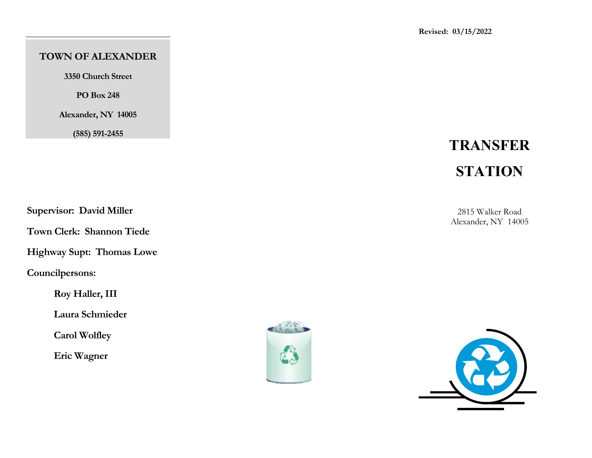## **TOWN OF ALEXANDER**

**3350 Church Street** 

**PO Box 248** 

**Alexander, NY 14005** 

**(585) 591-2455** 

# **TRANSFER STATION**

**Supervisor: David Miller** 

**Town Clerk: Shannon Tiede** 

**Highway Supt: Thomas Lowe** 

**Councilpersons:** 

 **Roy Haller, III** 

 **Laura Schmieder** 

 **Carol Wolfley** 

 **Eric Wagner**